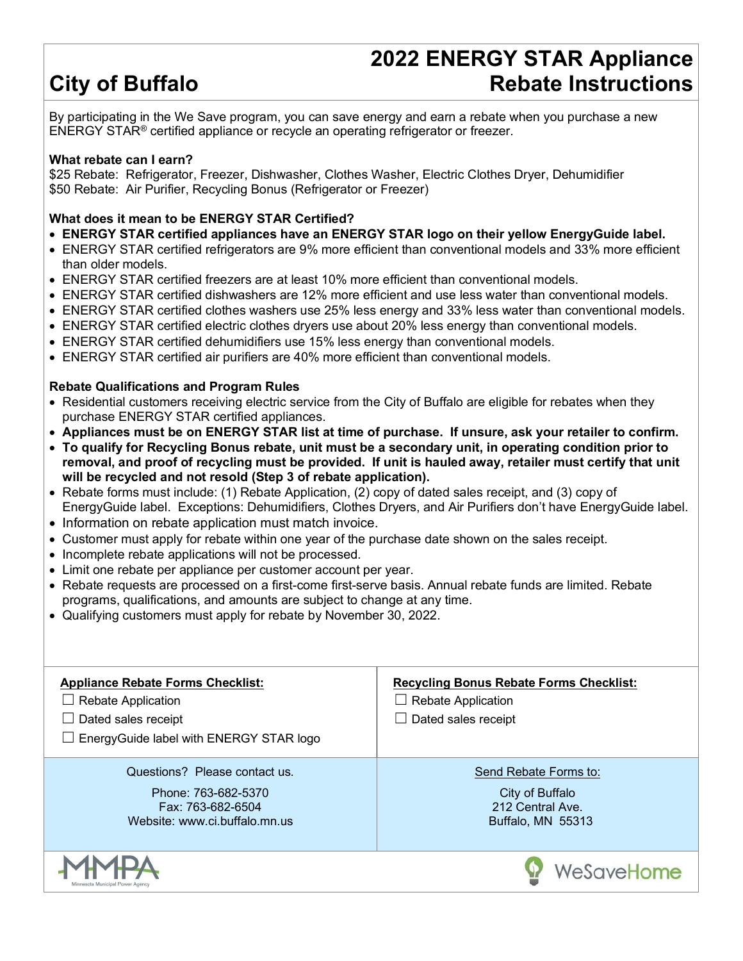# **City of Buffalo**

# **2022 ENERGY STAR Appliance Rebate Instructions**

By participating in the We Save program, you can save energy and earn a rebate when you purchase a new ENERGY STAR® certified appliance or recycle an operating refrigerator or freezer.

#### **What rebate can I earn?**

\$25 Rebate: Refrigerator, Freezer, Dishwasher, Clothes Washer, Electric Clothes Dryer, Dehumidifier \$50 Rebate: Air Purifier, Recycling Bonus (Refrigerator or Freezer)

#### **What does it mean to be ENERGY STAR Certified?**

- **ENERGY STAR certified appliances have an ENERGY STAR logo on their yellow EnergyGuide label.**
- ENERGY STAR certified refrigerators are 9% more efficient than conventional models and 33% more efficient than older models.
- ENERGY STAR certified freezers are at least 10% more efficient than conventional models.
- ENERGY STAR certified dishwashers are 12% more efficient and use less water than conventional models.
- ENERGY STAR certified clothes washers use 25% less energy and 33% less water than conventional models.
- ENERGY STAR certified electric clothes dryers use about 20% less energy than conventional models.
- ENERGY STAR certified dehumidifiers use 15% less energy than conventional models.
- ENERGY STAR certified air purifiers are 40% more efficient than conventional models.

#### **Rebate Qualifications and Program Rules**

- Residential customers receiving electric service from the City of Buffalo are eligible for rebates when they purchase ENERGY STAR certified appliances.
- **Appliances must be on ENERGY STAR list at time of purchase. If unsure, ask your retailer to confirm.**
- **To qualify for Recycling Bonus rebate, unit must be a secondary unit, in operating condition prior to removal, and proof of recycling must be provided. If unit is hauled away, retailer must certify that unit will be recycled and not resold (Step 3 of rebate application).**
- Rebate forms must include: (1) Rebate Application, (2) copy of dated sales receipt, and (3) copy of EnergyGuide label. Exceptions: Dehumidifiers, Clothes Dryers, and Air Purifiers don't have EnergyGuide label.
- Information on rebate application must match invoice.
- Customer must apply for rebate within one year of the purchase date shown on the sales receipt.
- Incomplete rebate applications will not be processed.
- Limit one rebate per appliance per customer account per year.
- Rebate requests are processed on a first-come first-serve basis. Annual rebate funds are limited. Rebate programs, qualifications, and amounts are subject to change at any time.
- Qualifying customers must apply for rebate by November 30, 2022.

| <b>Appliance Rebate Forms Checklist:</b><br><b>Rebate Application</b><br>$\Box$<br>Dated sales receipt<br>EnergyGuide label with ENERGY STAR logo<br>$\Box$ | <b>Recycling Bonus Rebate Forms Checklist:</b><br>$\Box$ Rebate Application<br>Dated sales receipt |
|-------------------------------------------------------------------------------------------------------------------------------------------------------------|----------------------------------------------------------------------------------------------------|
| Questions? Please contact us.<br>Phone: 763-682-5370<br>Fax: 763-682-6504<br>Website: www.ci.buffalo.mn.us                                                  | Send Rebate Forms to:<br>City of Buffalo<br>212 Central Ave<br>Buffalo, MN 55313                   |
| Minnesota Municipal Power Agency                                                                                                                            | WeSaveHome                                                                                         |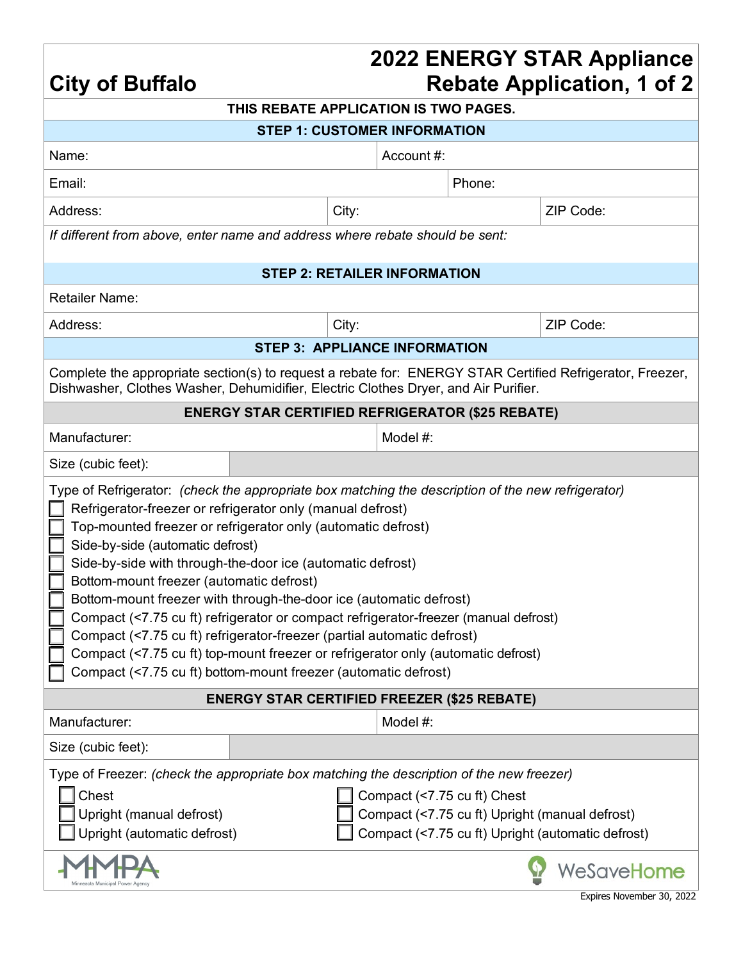### **2022 ENERGY STAR Appliance Rebate Application, 1 of 2**

| <b>City of Buffalo</b>                                                                                                                                                                                                                                                                                                                                                                                                                                                                                                                                                                                                                                                                                                                                                      |                                                    |                                     |                             | <b>Rebate Application, 1 of 2</b>                                                                   |  |  |
|-----------------------------------------------------------------------------------------------------------------------------------------------------------------------------------------------------------------------------------------------------------------------------------------------------------------------------------------------------------------------------------------------------------------------------------------------------------------------------------------------------------------------------------------------------------------------------------------------------------------------------------------------------------------------------------------------------------------------------------------------------------------------------|----------------------------------------------------|-------------------------------------|-----------------------------|-----------------------------------------------------------------------------------------------------|--|--|
| THIS REBATE APPLICATION IS TWO PAGES.                                                                                                                                                                                                                                                                                                                                                                                                                                                                                                                                                                                                                                                                                                                                       |                                                    |                                     |                             |                                                                                                     |  |  |
|                                                                                                                                                                                                                                                                                                                                                                                                                                                                                                                                                                                                                                                                                                                                                                             | <b>STEP 1: CUSTOMER INFORMATION</b>                |                                     |                             |                                                                                                     |  |  |
| Name:                                                                                                                                                                                                                                                                                                                                                                                                                                                                                                                                                                                                                                                                                                                                                                       |                                                    | Account #:                          |                             |                                                                                                     |  |  |
| Email:                                                                                                                                                                                                                                                                                                                                                                                                                                                                                                                                                                                                                                                                                                                                                                      |                                                    |                                     | Phone:                      |                                                                                                     |  |  |
| Address:                                                                                                                                                                                                                                                                                                                                                                                                                                                                                                                                                                                                                                                                                                                                                                    | City:                                              |                                     |                             | ZIP Code:                                                                                           |  |  |
| If different from above, enter name and address where rebate should be sent:                                                                                                                                                                                                                                                                                                                                                                                                                                                                                                                                                                                                                                                                                                |                                                    |                                     |                             |                                                                                                     |  |  |
|                                                                                                                                                                                                                                                                                                                                                                                                                                                                                                                                                                                                                                                                                                                                                                             |                                                    | <b>STEP 2: RETAILER INFORMATION</b> |                             |                                                                                                     |  |  |
| <b>Retailer Name:</b>                                                                                                                                                                                                                                                                                                                                                                                                                                                                                                                                                                                                                                                                                                                                                       |                                                    |                                     |                             |                                                                                                     |  |  |
| Address:                                                                                                                                                                                                                                                                                                                                                                                                                                                                                                                                                                                                                                                                                                                                                                    | City:                                              |                                     |                             | ZIP Code:                                                                                           |  |  |
|                                                                                                                                                                                                                                                                                                                                                                                                                                                                                                                                                                                                                                                                                                                                                                             | <b>STEP 3: APPLIANCE INFORMATION</b>               |                                     |                             |                                                                                                     |  |  |
| Complete the appropriate section(s) to request a rebate for: ENERGY STAR Certified Refrigerator, Freezer,<br>Dishwasher, Clothes Washer, Dehumidifier, Electric Clothes Dryer, and Air Purifier.                                                                                                                                                                                                                                                                                                                                                                                                                                                                                                                                                                            |                                                    |                                     |                             |                                                                                                     |  |  |
| <b>ENERGY STAR CERTIFIED REFRIGERATOR (\$25 REBATE)</b>                                                                                                                                                                                                                                                                                                                                                                                                                                                                                                                                                                                                                                                                                                                     |                                                    |                                     |                             |                                                                                                     |  |  |
| Manufacturer:                                                                                                                                                                                                                                                                                                                                                                                                                                                                                                                                                                                                                                                                                                                                                               |                                                    | Model #:                            |                             |                                                                                                     |  |  |
| Size (cubic feet):                                                                                                                                                                                                                                                                                                                                                                                                                                                                                                                                                                                                                                                                                                                                                          |                                                    |                                     |                             |                                                                                                     |  |  |
| Type of Refrigerator: (check the appropriate box matching the description of the new refrigerator)<br>Refrigerator-freezer or refrigerator only (manual defrost)<br>Top-mounted freezer or refrigerator only (automatic defrost)<br>Side-by-side (automatic defrost)<br>Side-by-side with through-the-door ice (automatic defrost)<br>Bottom-mount freezer (automatic defrost)<br>Bottom-mount freezer with through-the-door ice (automatic defrost)<br>Compact (<7.75 cu ft) refrigerator or compact refrigerator-freezer (manual defrost)<br>Compact (<7.75 cu ft) refrigerator-freezer (partial automatic defrost)<br>Compact (<7.75 cu ft) top-mount freezer or refrigerator only (automatic defrost)<br>Compact (<7.75 cu ft) bottom-mount freezer (automatic defrost) |                                                    |                                     |                             |                                                                                                     |  |  |
| Manufacturer:                                                                                                                                                                                                                                                                                                                                                                                                                                                                                                                                                                                                                                                                                                                                                               | <b>ENERGY STAR CERTIFIED FREEZER (\$25 REBATE)</b> | Model #:                            |                             |                                                                                                     |  |  |
| Size (cubic feet):                                                                                                                                                                                                                                                                                                                                                                                                                                                                                                                                                                                                                                                                                                                                                          |                                                    |                                     |                             |                                                                                                     |  |  |
| Type of Freezer: (check the appropriate box matching the description of the new freezer)<br>Chest<br>Upright (manual defrost)<br>Upright (automatic defrost)                                                                                                                                                                                                                                                                                                                                                                                                                                                                                                                                                                                                                |                                                    |                                     | Compact (<7.75 cu ft) Chest | Compact (<7.75 cu ft) Upright (manual defrost)<br>Compact (<7.75 cu ft) Upright (automatic defrost) |  |  |
|                                                                                                                                                                                                                                                                                                                                                                                                                                                                                                                                                                                                                                                                                                                                                                             |                                                    |                                     |                             | WeSaveHome                                                                                          |  |  |
|                                                                                                                                                                                                                                                                                                                                                                                                                                                                                                                                                                                                                                                                                                                                                                             |                                                    |                                     |                             | Expires November 30, 2022                                                                           |  |  |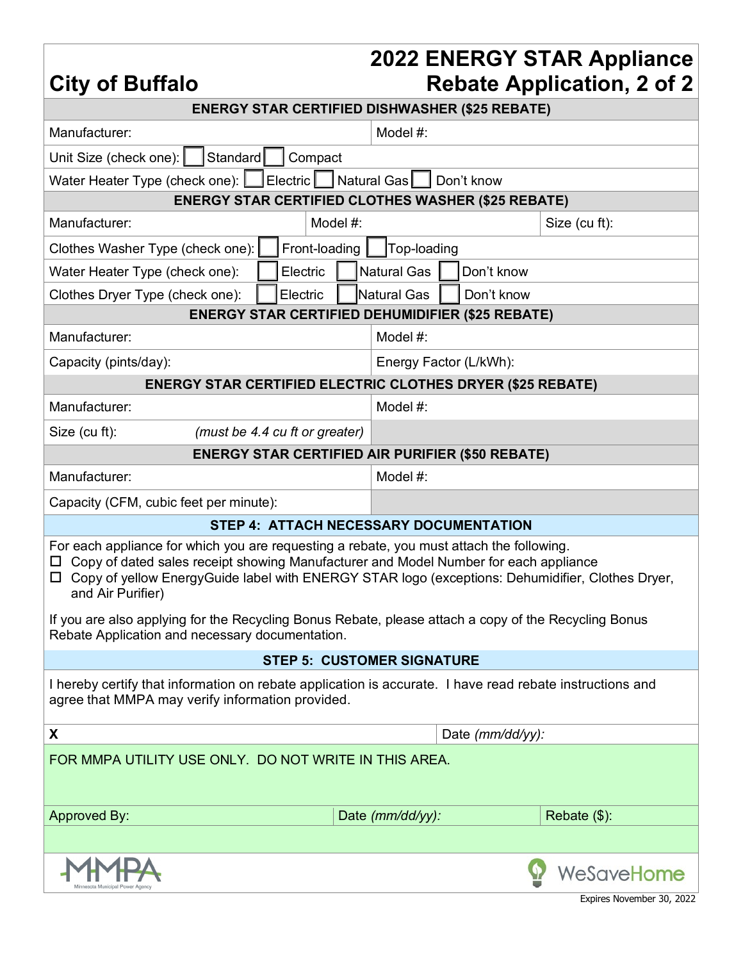**City of Buffalo**

### **2022 ENERGY STAR Appliance Rebate Application, 2 of 2**

| <b>ENERGY STAR CERTIFIED DISHWASHER (\$25 REBATE)</b>                                                                                                                                                                                                                                                               |                                                           |                                  |                  |                           |  |
|---------------------------------------------------------------------------------------------------------------------------------------------------------------------------------------------------------------------------------------------------------------------------------------------------------------------|-----------------------------------------------------------|----------------------------------|------------------|---------------------------|--|
| Manufacturer:                                                                                                                                                                                                                                                                                                       |                                                           | Model #:                         |                  |                           |  |
| Standard<br>Unit Size (check one):                                                                                                                                                                                                                                                                                  | Compact                                                   |                                  |                  |                           |  |
|                                                                                                                                                                                                                                                                                                                     |                                                           |                                  | Don't know       |                           |  |
|                                                                                                                                                                                                                                                                                                                     | <b>ENERGY STAR CERTIFIED CLOTHES WASHER (\$25 REBATE)</b> |                                  |                  |                           |  |
| Manufacturer:                                                                                                                                                                                                                                                                                                       | Model #:                                                  |                                  |                  | Size (cu ft):             |  |
| Clothes Washer Type (check one):                                                                                                                                                                                                                                                                                    | Front-loading                                             | Top-loading                      |                  |                           |  |
| Water Heater Type (check one):                                                                                                                                                                                                                                                                                      | Electric                                                  | <b>Natural Gas</b><br>Don't know |                  |                           |  |
| Clothes Dryer Type (check one):                                                                                                                                                                                                                                                                                     | Electric                                                  | Natural Gas<br>Don't know        |                  |                           |  |
|                                                                                                                                                                                                                                                                                                                     | <b>ENERGY STAR CERTIFIED DEHUMIDIFIER (\$25 REBATE)</b>   |                                  |                  |                           |  |
| Manufacturer:                                                                                                                                                                                                                                                                                                       |                                                           | Model #:                         |                  |                           |  |
| Capacity (pints/day):                                                                                                                                                                                                                                                                                               | Energy Factor (L/kWh):                                    |                                  |                  |                           |  |
| <b>ENERGY STAR CERTIFIED ELECTRIC CLOTHES DRYER (\$25 REBATE)</b>                                                                                                                                                                                                                                                   |                                                           |                                  |                  |                           |  |
| Manufacturer:                                                                                                                                                                                                                                                                                                       |                                                           | Model #:                         |                  |                           |  |
| Size (cu ft):                                                                                                                                                                                                                                                                                                       | (must be 4.4 cu ft or greater)                            |                                  |                  |                           |  |
|                                                                                                                                                                                                                                                                                                                     | <b>ENERGY STAR CERTIFIED AIR PURIFIER (\$50 REBATE)</b>   |                                  |                  |                           |  |
| Manufacturer:                                                                                                                                                                                                                                                                                                       |                                                           | Model #:                         |                  |                           |  |
| Capacity (CFM, cubic feet per minute):                                                                                                                                                                                                                                                                              |                                                           |                                  |                  |                           |  |
|                                                                                                                                                                                                                                                                                                                     | STEP 4: ATTACH NECESSARY DOCUMENTATION                    |                                  |                  |                           |  |
| For each appliance for which you are requesting a rebate, you must attach the following.<br>Copy of dated sales receipt showing Manufacturer and Model Number for each appliance<br>Copy of yellow EnergyGuide label with ENERGY STAR logo (exceptions: Dehumidifier, Clothes Dryer,<br>$\Box$<br>and Air Purifier) |                                                           |                                  |                  |                           |  |
| If you are also applying for the Recycling Bonus Rebate, please attach a copy of the Recycling Bonus<br>Rebate Application and necessary documentation.                                                                                                                                                             |                                                           |                                  |                  |                           |  |
| <b>STEP 5: CUSTOMER SIGNATURE</b>                                                                                                                                                                                                                                                                                   |                                                           |                                  |                  |                           |  |
| I hereby certify that information on rebate application is accurate. I have read rebate instructions and<br>agree that MMPA may verify information provided.                                                                                                                                                        |                                                           |                                  |                  |                           |  |
| X                                                                                                                                                                                                                                                                                                                   |                                                           |                                  | Date (mm/dd/yy): |                           |  |
| FOR MMPA UTILITY USE ONLY. DO NOT WRITE IN THIS AREA.<br><b>Approved By:</b><br>Date (mm/dd/yy):<br>Rebate (\$):                                                                                                                                                                                                    |                                                           |                                  |                  |                           |  |
|                                                                                                                                                                                                                                                                                                                     |                                                           |                                  |                  |                           |  |
|                                                                                                                                                                                                                                                                                                                     |                                                           |                                  |                  | WeSaveHome                |  |
|                                                                                                                                                                                                                                                                                                                     |                                                           |                                  |                  | Expires November 30, 2022 |  |